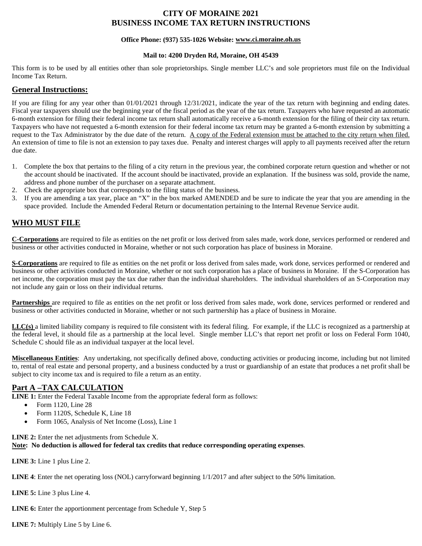## **CITY OF MORAINE 2021 BUSINESS INCOME TAX RETURN INSTRUCTIONS**

#### **Office Phone: (937) 535-1026 Website: www.ci.moraine.oh.us**

#### **Mail to: 4200 Dryden Rd, Moraine, OH 45439**

This form is to be used by all entities other than sole proprietorships. Single member LLC's and sole proprietors must file on the Individual Income Tax Return.

### **General Instructions:**

If you are filing for any year other than 01/01/2021 through 12/31/2021, indicate the year of the tax return with beginning and ending dates. Fiscal year taxpayers should use the beginning year of the fiscal period as the year of the tax return. Taxpayers who have requested an automatic 6-month extension for filing their federal income tax return shall automatically receive a 6-month extension for the filing of their city tax return. Taxpayers who have not requested a 6-month extension for their federal income tax return may be granted a 6-month extension by submitting a request to the Tax Administrator by the due date of the return. A copy of the Federal extension must be attached to the city return when filed. An extension of time to file is not an extension to pay taxes due. Penalty and interest charges will apply to all payments received after the return due date.

- 1. Complete the box that pertains to the filing of a city return in the previous year, the combined corporate return question and whether or not the account should be inactivated. If the account should be inactivated, provide an explanation. If the business was sold, provide the name, address and phone number of the purchaser on a separate attachment.
- 2. Check the appropriate box that corresponds to the filing status of the business.
- 3. If you are amending a tax year, place an "X" in the box marked AMENDED and be sure to indicate the year that you are amending in the space provided. Include the Amended Federal Return or documentation pertaining to the Internal Revenue Service audit.

# **WHO MUST FILE**

**C-Corporations** are required to file as entities on the net profit or loss derived from sales made, work done, services performed or rendered and business or other activities conducted in Moraine, whether or not such corporation has place of business in Moraine.

**S-Corporations** are required to file as entities on the net profit or loss derived from sales made, work done, services performed or rendered and business or other activities conducted in Moraine, whether or not such corporation has a place of business in Moraine. If the S-Corporation has net income, the corporation must pay the tax due rather than the individual shareholders. The individual shareholders of an S-Corporation may not include any gain or loss on their individual returns.

Partnerships are required to file as entities on the net profit or loss derived from sales made, work done, services performed or rendered and business or other activities conducted in Moraine, whether or not such partnership has a place of business in Moraine.

**LLC(s)** a limited liability company is required to file consistent with its federal filing. For example, if the LLC is recognized as a partnership at the federal level, it should file as a partnership at the local level. Single member LLC's that report net profit or loss on Federal Form 1040, Schedule C should file as an individual taxpayer at the local level.

**Miscellaneous Entities**: Any undertaking, not specifically defined above, conducting activities or producing income, including but not limited to, rental of real estate and personal property, and a business conducted by a trust or guardianship of an estate that produces a net profit shall be subject to city income tax and is required to file a return as an entity.

### **Part A –TAX CALCULATION**

**LINE 1:** Enter the Federal Taxable Income from the appropriate federal form as follows:

- Form 1120, Line 28
	- Form 1120S, Schedule K, Line 18
- Form 1065, Analysis of Net Income (Loss), Line 1

**LINE 2:** Enter the net adjustments from Schedule X.

### **Note: No deduction is allowed for federal tax credits that reduce corresponding operating expenses**.

**LINE 3:** Line 1 plus Line 2.

**LINE 4**: Enter the net operating loss (NOL) carryforward beginning 1/1/2017 and after subject to the 50% limitation.

**LINE 5:** Line 3 plus Line 4.

**LINE 6:** Enter the apportionment percentage from Schedule Y, Step 5

**LINE 7:** Multiply Line 5 by Line 6.